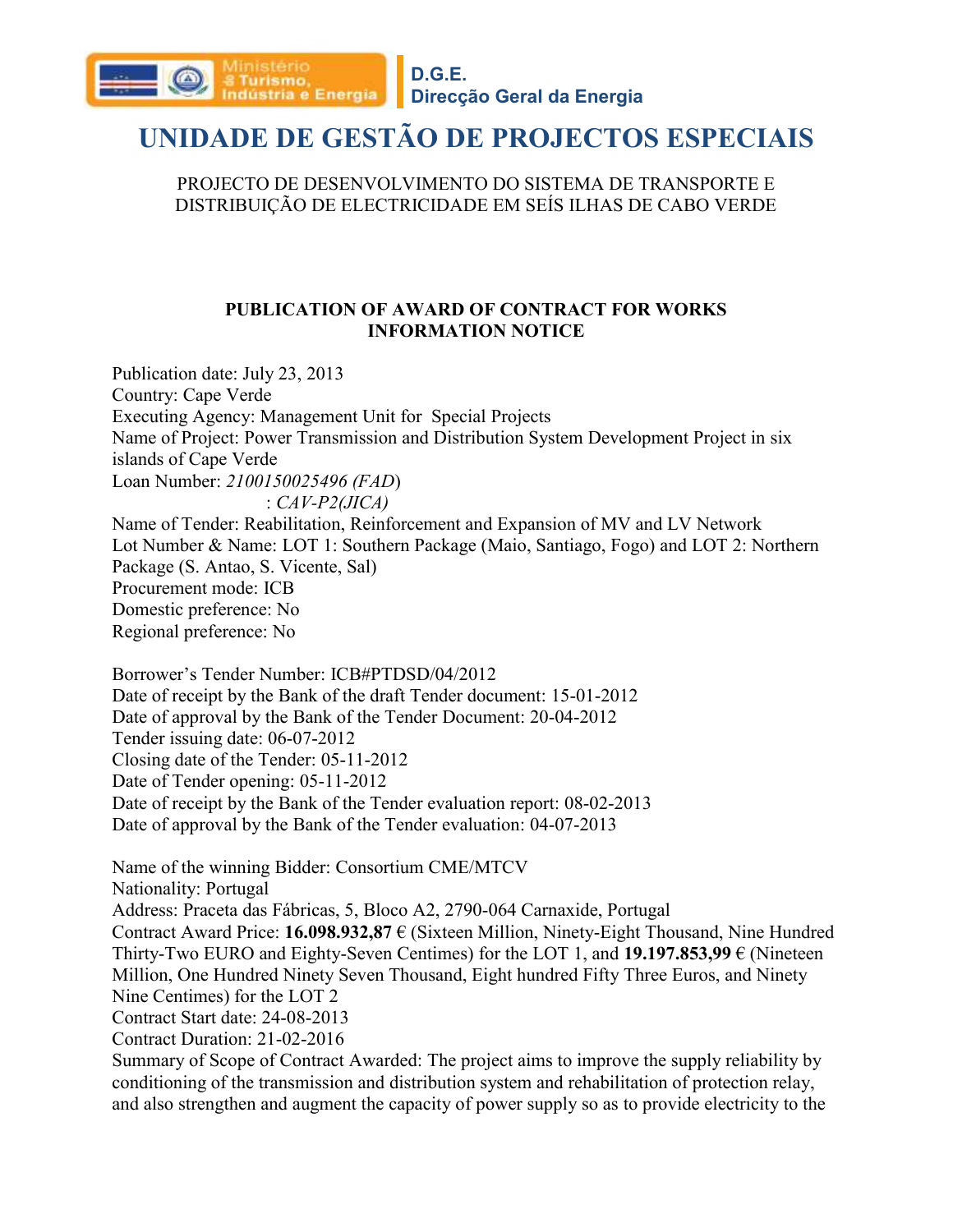

### **Direcção Geral da Energia**

### **UNIDADE DE GESTÃO DE PROJECTOS ESPECIAIS**

PROJECTO DE DESENVOLVIMENTO DO SISTEMA DE TRANSPORTE E DISTRIBUIÇÃO DE ELECTRICIDADE EM SEÍS ILHAS DE CABO VERDE

#### **PUBLICATION OF AWARD OF CONTRACT FOR WORKS INFORMATION NOTICE**

Publication date: July 23, 2013 Country: Cape Verde Executing Agency: Management Unit for Special Projects Name of Project: Power Transmission and Distribution System Development Project in six islands of Cape Verde Loan Number: *2100150025496 (FAD*) : *CAV-P2(JICA)* Name of Tender: Reabilitation, Reinforcement and Expansion of MV and LV Network Lot Number & Name: LOT 1: Southern Package (Maio, Santiago, Fogo) and LOT 2: Northern Package (S. Antao, S. Vicente, Sal) Procurement mode: ICB Domestic preference: No Regional preference: No

Borrower's Tender Number: ICB#PTDSD/04/2012 Date of receipt by the Bank of the draft Tender document: 15-01-2012 Date of approval by the Bank of the Tender Document: 20-04-2012 Tender issuing date: 06-07-2012 Closing date of the Tender: 05-11-2012 Date of Tender opening: 05-11-2012 Date of receipt by the Bank of the Tender evaluation report: 08-02-2013 Date of approval by the Bank of the Tender evaluation: 04-07-2013

Name of the winning Bidder: Consortium CME/MTCV Nationality: Portugal Address: Praceta das Fábricas, 5, Bloco A2, 2790-064 Carnaxide, Portugal Contract Award Price: **16.098.932,87** € (Sixteen Million, Ninety-Eight Thousand, Nine Hundred Thirty-Two EURO and Eighty-Seven Centimes) for the LOT 1, and **19.197.853,99** € (Nineteen Million, One Hundred Ninety Seven Thousand, Eight hundred Fifty Three Euros, and Ninety Nine Centimes) for the LOT 2 Contract Start date: 24-08-2013 Contract Duration: 21-02-2016 Summary of Scope of Contract Awarded: The project aims to improve the supply reliability by

conditioning of the transmission and distribution system and rehabilitation of protection relay, and also strengthen and augment the capacity of power supply so as to provide electricity to the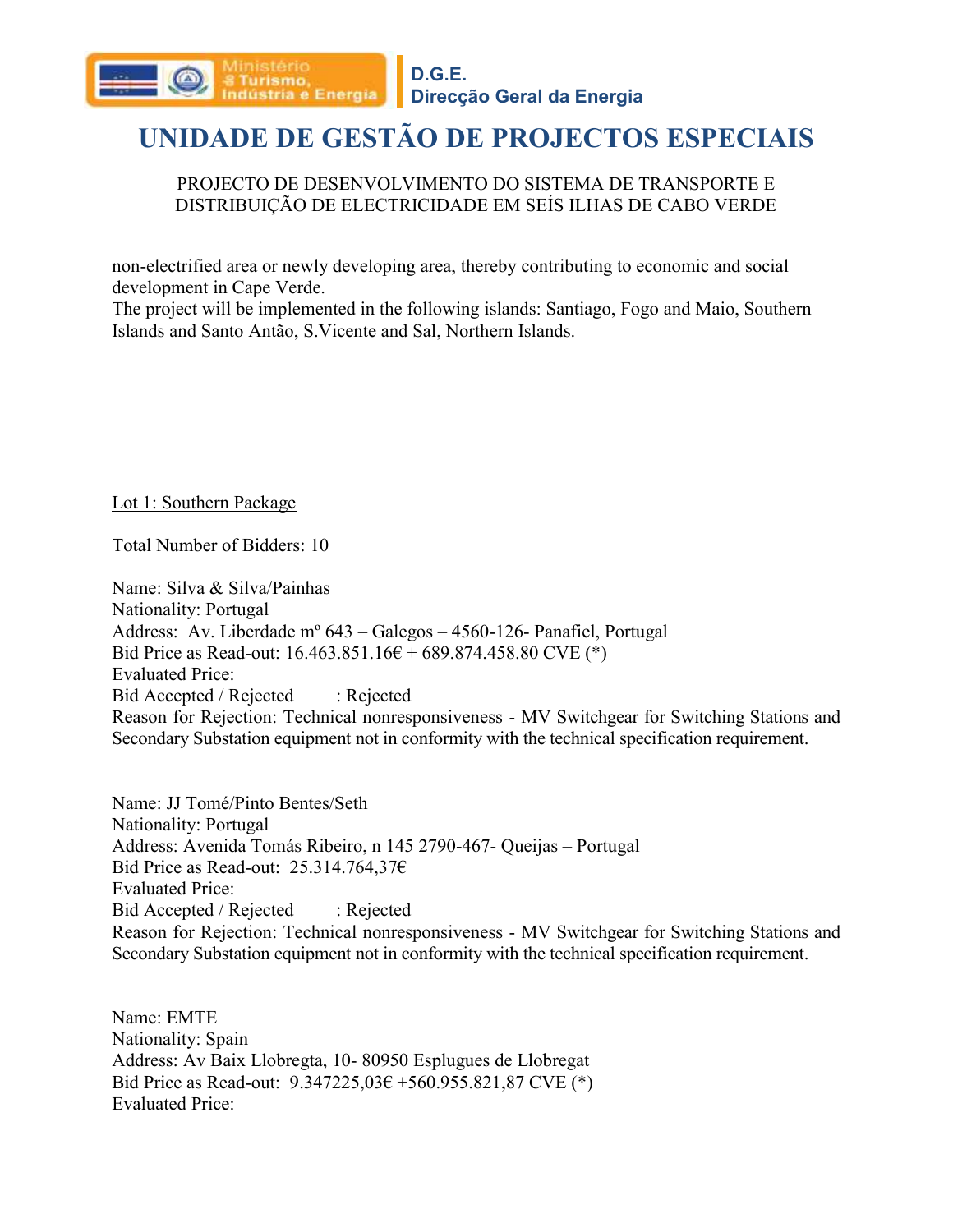

#### PROJECTO DE DESENVOLVIMENTO DO SISTEMA DE TRANSPORTE E DISTRIBUIÇÃO DE ELECTRICIDADE EM SEÍS ILHAS DE CABO VERDE

non-electrified area or newly developing area, thereby contributing to economic and social development in Cape Verde.

The project will be implemented in the following islands: Santiago, Fogo and Maio, Southern Islands and Santo Antão, S.Vicente and Sal, Northern Islands.

Lot 1: Southern Package

Total Number of Bidders: 10

ndústria e Energia

Name: Silva & Silva/Painhas Nationality: Portugal Address: Av. Liberdade mº 643 – Galegos – 4560-126- Panafiel, Portugal Bid Price as Read-out:  $16.463.851.16 \epsilon + 689.874.458.80$  CVE (\*) Evaluated Price: Bid Accepted / Rejected : Rejected Reason for Rejection: Technical nonresponsiveness - MV Switchgear for Switching Stations and Secondary Substation equipment not in conformity with the technical specification requirement.

Name: JJ Tomé/Pinto Bentes/Seth Nationality: Portugal Address: Avenida Tomás Ribeiro, n 145 2790-467- Queijas – Portugal Bid Price as Read-out: 25.314.764,37€ Evaluated Price: Bid Accepted / Rejected : Rejected Reason for Rejection: Technical nonresponsiveness - MV Switchgear for Switching Stations and Secondary Substation equipment not in conformity with the technical specification requirement.

Name: EMTE Nationality: Spain Address: Av Baix Llobregta, 10- 80950 Esplugues de Llobregat Bid Price as Read-out: 9.347225,03€ +560.955.821,87 CVE (\*) Evaluated Price: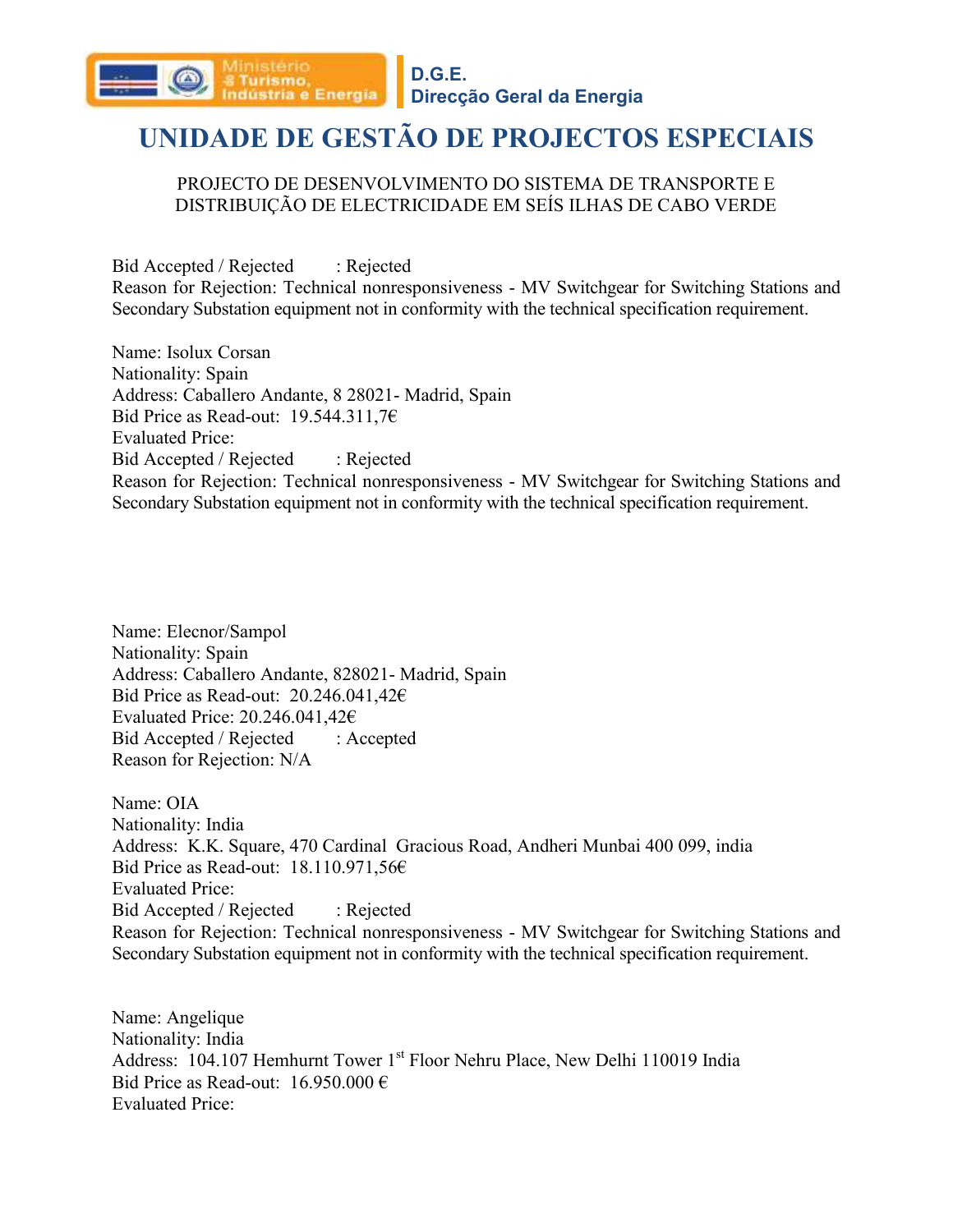

#### PROJECTO DE DESENVOLVIMENTO DO SISTEMA DE TRANSPORTE E DISTRIBUIÇÃO DE ELECTRICIDADE EM SEÍS ILHAS DE CABO VERDE

Bid Accepted / Rejected : Rejected Reason for Rejection: Technical nonresponsiveness - MV Switchgear for Switching Stations and Secondary Substation equipment not in conformity with the technical specification requirement.

Name: Isolux Corsan Nationality: Spain Address: Caballero Andante, 8 28021- Madrid, Spain Bid Price as Read-out: 19.544.311,7€ Evaluated Price: Bid Accepted / Rejected : Rejected Reason for Rejection: Technical nonresponsiveness - MV Switchgear for Switching Stations and Secondary Substation equipment not in conformity with the technical specification requirement.

Name: Elecnor/Sampol Nationality: Spain Address: Caballero Andante, 828021- Madrid, Spain Bid Price as Read-out: 20.246.041,42€ Evaluated Price: 20.246.041,42€ Bid Accepted / Rejected : Accepted Reason for Rejection: N/A

Name: OIA Nationality: India Address: K.K. Square, 470 Cardinal Gracious Road, Andheri Munbai 400 099, india Bid Price as Read-out: 18.110.971,56€ Evaluated Price: Bid Accepted / Rejected : Rejected Reason for Rejection: Technical nonresponsiveness - MV Switchgear for Switching Stations and Secondary Substation equipment not in conformity with the technical specification requirement.

Name: Angelique Nationality: India Address: 104.107 Hemhurnt Tower 1<sup>st</sup> Floor Nehru Place, New Delhi 110019 India Bid Price as Read-out:  $16.950.000 \in$ Evaluated Price: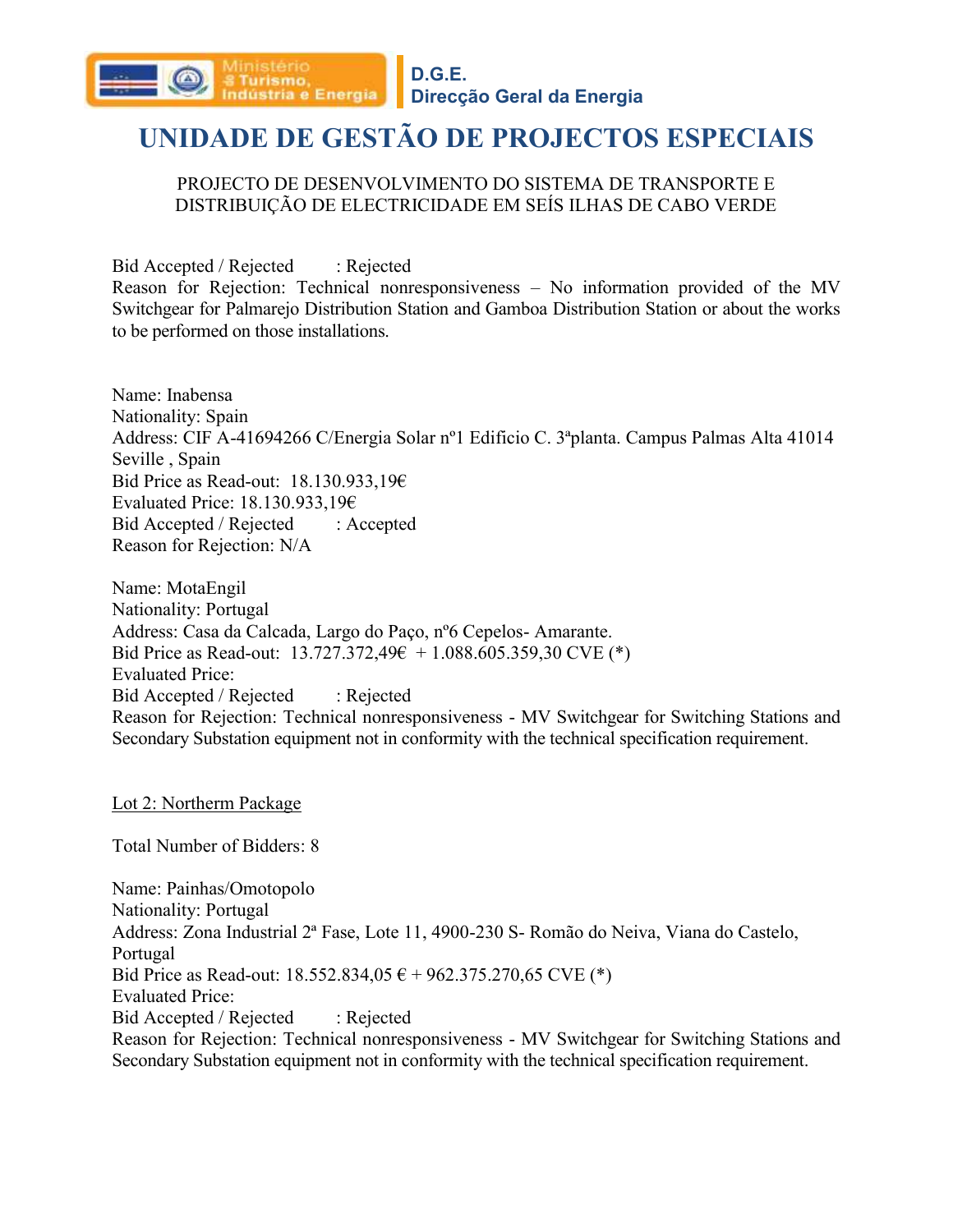

#### **Direcção Geral da Energia**

### **UNIDADE DE GESTÃO DE PROJECTOS ESPECIAIS**

#### PROJECTO DE DESENVOLVIMENTO DO SISTEMA DE TRANSPORTE E DISTRIBUIÇÃO DE ELECTRICIDADE EM SEÍS ILHAS DE CABO VERDE

Bid Accepted / Rejected : Rejected Reason for Rejection: Technical nonresponsiveness – No information provided of the MV Switchgear for Palmarejo Distribution Station and Gamboa Distribution Station or about the works to be performed on those installations.

Name: Inabensa Nationality: Spain Address: CIF A-41694266 C/Energia Solar nº1 Edificio C. 3ªplanta. Campus Palmas Alta 41014 Seville , Spain Bid Price as Read-out: 18.130.933,19€ Evaluated Price: 18.130.933,19€ Bid Accepted / Rejected : Accepted Reason for Rejection: N/A

Name: MotaEngil Nationality: Portugal Address: Casa da Calcada, Largo do Paço, nº6 Cepelos- Amarante. Bid Price as Read-out:  $13.727.372.49 \epsilon + 1.088.605.359.30$  CVE (\*) Evaluated Price: Bid Accepted / Rejected : Rejected Reason for Rejection: Technical nonresponsiveness - MV Switchgear for Switching Stations and Secondary Substation equipment not in conformity with the technical specification requirement.

Lot 2: Northerm Package

Total Number of Bidders: 8

Name: Painhas/Omotopolo Nationality: Portugal Address: Zona Industrial 2ª Fase, Lote 11, 4900-230 S- Romão do Neiva, Viana do Castelo, Portugal Bid Price as Read-out:  $18.552.834.05 \text{ } \epsilon + 962.375.270.65 \text{ CVE}$  (\*) Evaluated Price: Bid Accepted / Rejected : Rejected Reason for Rejection: Technical nonresponsiveness - MV Switchgear for Switching Stations and Secondary Substation equipment not in conformity with the technical specification requirement.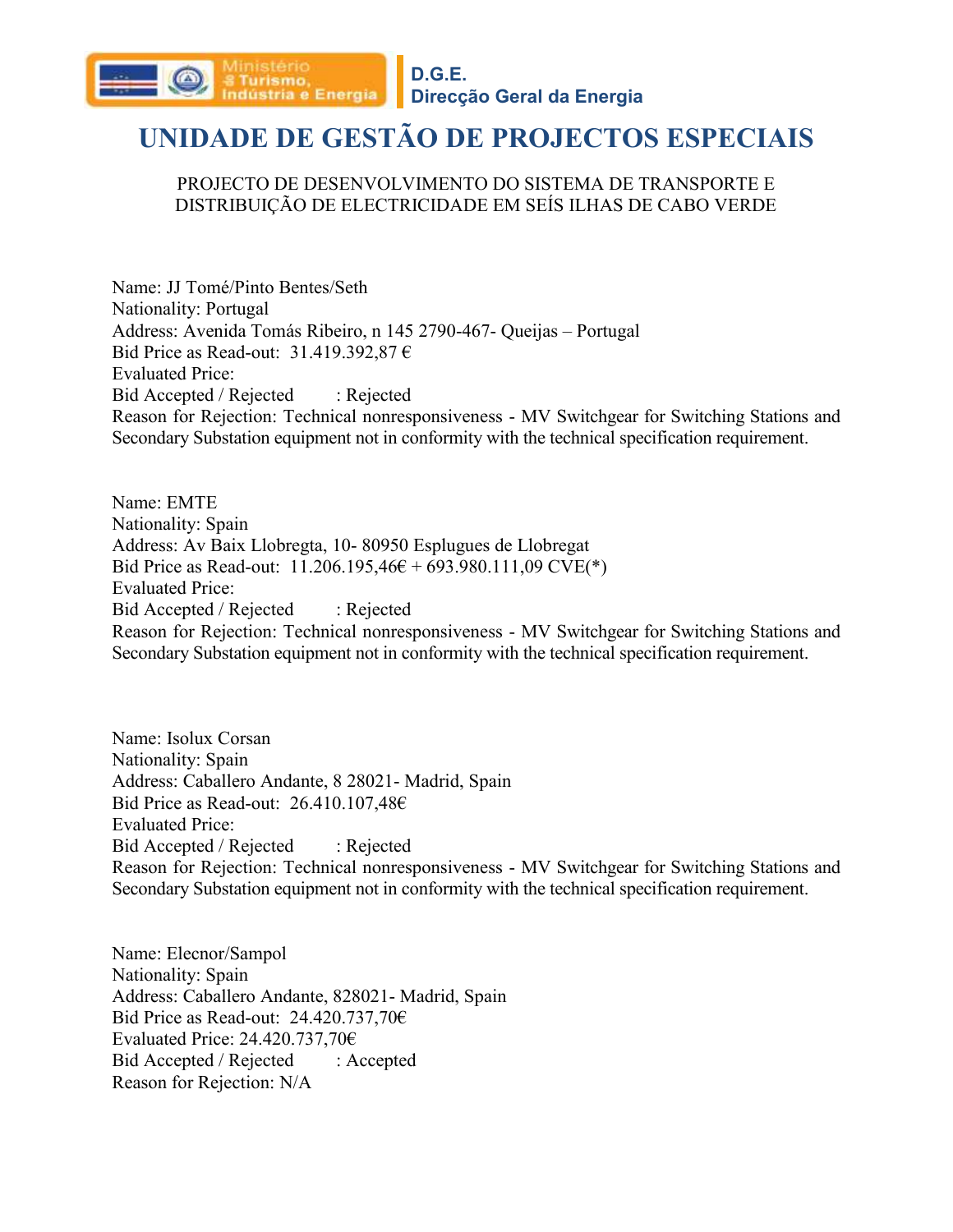

#### PROJECTO DE DESENVOLVIMENTO DO SISTEMA DE TRANSPORTE E DISTRIBUIÇÃO DE ELECTRICIDADE EM SEÍS ILHAS DE CABO VERDE

Name: JJ Tomé/Pinto Bentes/Seth Nationality: Portugal Address: Avenida Tomás Ribeiro, n 145 2790-467- Queijas – Portugal Bid Price as Read-out: 31.419.392,87 € Evaluated Price: Bid Accepted / Rejected : Rejected Reason for Rejection: Technical nonresponsiveness - MV Switchgear for Switching Stations and Secondary Substation equipment not in conformity with the technical specification requirement.

Name: EMTE Nationality: Spain Address: Av Baix Llobregta, 10- 80950 Esplugues de Llobregat Bid Price as Read-out:  $11.206.195,46 \text{ } \text{ } \infty + 693.980.111,09$  CVE(\*) Evaluated Price: Bid Accepted / Rejected : Rejected Reason for Rejection: Technical nonresponsiveness - MV Switchgear for Switching Stations and Secondary Substation equipment not in conformity with the technical specification requirement.

Name: Isolux Corsan Nationality: Spain Address: Caballero Andante, 8 28021- Madrid, Spain Bid Price as Read-out: 26.410.107,48€ Evaluated Price: Bid Accepted / Rejected : Rejected Reason for Rejection: Technical nonresponsiveness - MV Switchgear for Switching Stations and Secondary Substation equipment not in conformity with the technical specification requirement.

Name: Elecnor/Sampol Nationality: Spain Address: Caballero Andante, 828021- Madrid, Spain Bid Price as Read-out: 24.420.737,70€ Evaluated Price: 24.420.737,70€ Bid Accepted / Rejected : Accepted Reason for Rejection: N/A